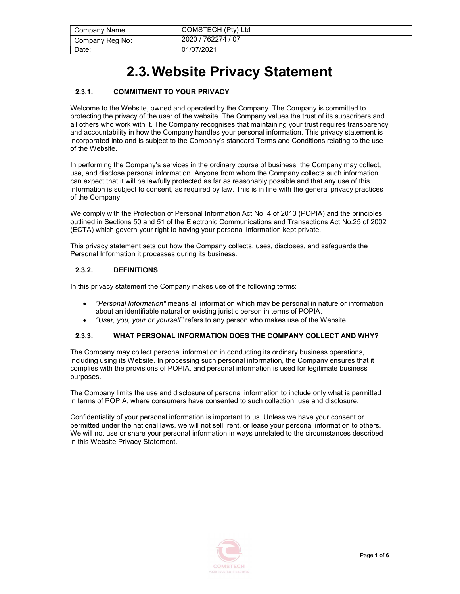| Company Name:   | COMSTECH (Pty) Ltd |
|-----------------|--------------------|
| Company Reg No: | 2020 / 762274 / 07 |
| Date:           | 01/07/2021         |

# 2.3. Website Privacy Statement

# 2.3.1. COMMITMENT TO YOUR PRIVACY

Welcome to the Website, owned and operated by the Company. The Company is committed to protecting the privacy of the user of the website. The Company values the trust of its subscribers and all others who work with it. The Company recognises that maintaining your trust requires transparency and accountability in how the Company handles your personal information. This privacy statement is incorporated into and is subject to the Company's standard Terms and Conditions relating to the use of the Website.

In performing the Company's services in the ordinary course of business, the Company may collect, use, and disclose personal information. Anyone from whom the Company collects such information can expect that it will be lawfully protected as far as reasonably possible and that any use of this information is subject to consent, as required by law. This is in line with the general privacy practices of the Company.

We comply with the Protection of Personal Information Act No. 4 of 2013 (POPIA) and the principles outlined in Sections 50 and 51 of the Electronic Communications and Transactions Act No.25 of 2002 (ECTA) which govern your right to having your personal information kept private.

This privacy statement sets out how the Company collects, uses, discloses, and safeguards the Personal Information it processes during its business.

## 2.3.2. DEFINITIONS

In this privacy statement the Company makes use of the following terms:

- "Personal Information" means all information which may be personal in nature or information about an identifiable natural or existing juristic person in terms of POPIA.
- "User, you, your or yourself" refers to any person who makes use of the Website.

#### 2.3.3. WHAT PERSONAL INFORMATION DOES THE COMPANY COLLECT AND WHY?

The Company may collect personal information in conducting its ordinary business operations, including using its Website. In processing such personal information, the Company ensures that it complies with the provisions of POPIA, and personal information is used for legitimate business purposes.

The Company limits the use and disclosure of personal information to include only what is permitted in terms of POPIA, where consumers have consented to such collection, use and disclosure.

Confidentiality of your personal information is important to us. Unless we have your consent or permitted under the national laws, we will not sell, rent, or lease your personal information to others. We will not use or share your personal information in ways unrelated to the circumstances described in this Website Privacy Statement.

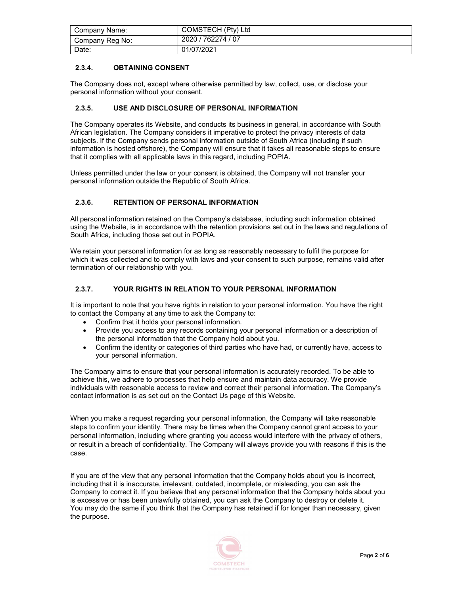| Company Name:   | COMSTECH (Pty) Ltd |
|-----------------|--------------------|
| Company Reg No: | 2020 / 762274 / 07 |
| Date:           | 01/07/2021         |

# 2.3.4. OBTAINING CONSENT

The Company does not, except where otherwise permitted by law, collect, use, or disclose your personal information without your consent.

## 2.3.5. USE AND DISCLOSURE OF PERSONAL INFORMATION

The Company operates its Website, and conducts its business in general, in accordance with South African legislation. The Company considers it imperative to protect the privacy interests of data subjects. If the Company sends personal information outside of South Africa (including if such information is hosted offshore), the Company will ensure that it takes all reasonable steps to ensure that it complies with all applicable laws in this regard, including POPIA.

Unless permitted under the law or your consent is obtained, the Company will not transfer your personal information outside the Republic of South Africa.

# 2.3.6. RETENTION OF PERSONAL INFORMATION

All personal information retained on the Company's database, including such information obtained using the Website, is in accordance with the retention provisions set out in the laws and regulations of South Africa, including those set out in POPIA.

We retain your personal information for as long as reasonably necessary to fulfil the purpose for which it was collected and to comply with laws and your consent to such purpose, remains valid after termination of our relationship with you.

## 2.3.7. YOUR RIGHTS IN RELATION TO YOUR PERSONAL INFORMATION

It is important to note that you have rights in relation to your personal information. You have the right to contact the Company at any time to ask the Company to:

- Confirm that it holds your personal information.
- Provide you access to any records containing your personal information or a description of the personal information that the Company hold about you.
- Confirm the identity or categories of third parties who have had, or currently have, access to your personal information.

The Company aims to ensure that your personal information is accurately recorded. To be able to achieve this, we adhere to processes that help ensure and maintain data accuracy. We provide individuals with reasonable access to review and correct their personal information. The Company's contact information is as set out on the Contact Us page of this Website.

When you make a request regarding your personal information, the Company will take reasonable steps to confirm your identity. There may be times when the Company cannot grant access to your personal information, including where granting you access would interfere with the privacy of others, or result in a breach of confidentiality. The Company will always provide you with reasons if this is the case.

If you are of the view that any personal information that the Company holds about you is incorrect, including that it is inaccurate, irrelevant, outdated, incomplete, or misleading, you can ask the Company to correct it. If you believe that any personal information that the Company holds about you is excessive or has been unlawfully obtained, you can ask the Company to destroy or delete it. You may do the same if you think that the Company has retained if for longer than necessary, given the purpose.

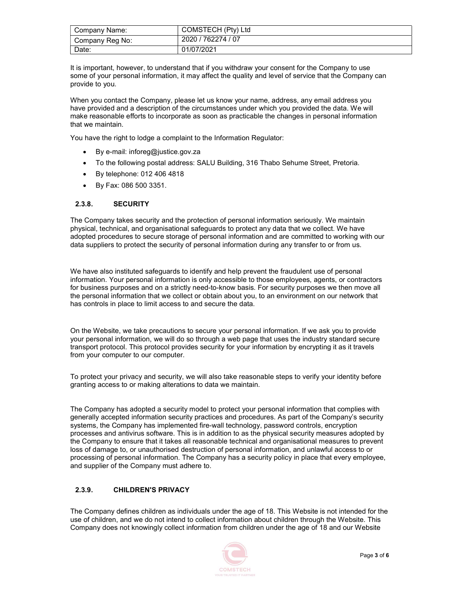| Company Name:   | COMSTECH (Pty) Ltd |
|-----------------|--------------------|
| Company Reg No: | 2020 / 762274 / 07 |
| Date:           | 01/07/2021         |

It is important, however, to understand that if you withdraw your consent for the Company to use some of your personal information, it may affect the quality and level of service that the Company can provide to you.

When you contact the Company, please let us know your name, address, any email address you have provided and a description of the circumstances under which you provided the data. We will make reasonable efforts to incorporate as soon as practicable the changes in personal information that we maintain.

You have the right to lodge a complaint to the Information Regulator:

- By e-mail: inforeg@justice.gov.za
- To the following postal address: SALU Building, 316 Thabo Sehume Street, Pretoria.
- By telephone: 012 406 4818
- By Fax: 086 500 3351.

#### 2.3.8. SECURITY

The Company takes security and the protection of personal information seriously. We maintain physical, technical, and organisational safeguards to protect any data that we collect. We have adopted procedures to secure storage of personal information and are committed to working with our data suppliers to protect the security of personal information during any transfer to or from us.

We have also instituted safeguards to identify and help prevent the fraudulent use of personal information. Your personal information is only accessible to those employees, agents, or contractors for business purposes and on a strictly need-to-know basis. For security purposes we then move all the personal information that we collect or obtain about you, to an environment on our network that has controls in place to limit access to and secure the data.

On the Website, we take precautions to secure your personal information. If we ask you to provide your personal information, we will do so through a web page that uses the industry standard secure transport protocol. This protocol provides security for your information by encrypting it as it travels from your computer to our computer.

To protect your privacy and security, we will also take reasonable steps to verify your identity before granting access to or making alterations to data we maintain.

The Company has adopted a security model to protect your personal information that complies with generally accepted information security practices and procedures. As part of the Company's security systems, the Company has implemented fire-wall technology, password controls, encryption processes and antivirus software. This is in addition to as the physical security measures adopted by the Company to ensure that it takes all reasonable technical and organisational measures to prevent loss of damage to, or unauthorised destruction of personal information, and unlawful access to or processing of personal information. The Company has a security policy in place that every employee, and supplier of the Company must adhere to.

#### 2.3.9. CHILDREN'S PRIVACY

The Company defines children as individuals under the age of 18. This Website is not intended for the use of children, and we do not intend to collect information about children through the Website. This Company does not knowingly collect information from children under the age of 18 and our Website

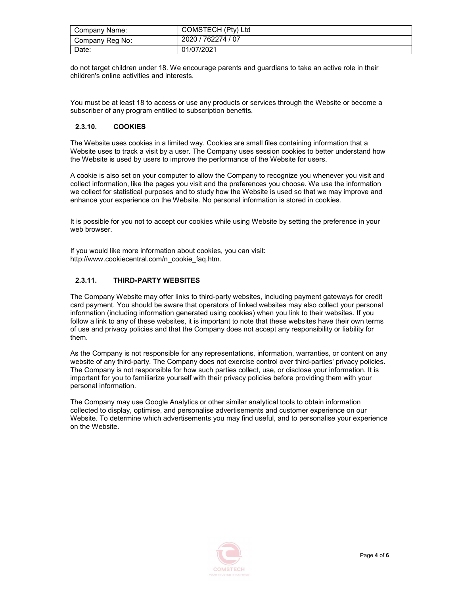| Company Name:   | COMSTECH (Pty) Ltd |
|-----------------|--------------------|
| Company Reg No: | 2020 / 762274 / 07 |
| Date:           | 01/07/2021         |

do not target children under 18. We encourage parents and guardians to take an active role in their children's online activities and interests.

You must be at least 18 to access or use any products or services through the Website or become a subscriber of any program entitled to subscription benefits.

#### 2.3.10. COOKIES

The Website uses cookies in a limited way. Cookies are small files containing information that a Website uses to track a visit by a user. The Company uses session cookies to better understand how the Website is used by users to improve the performance of the Website for users.

A cookie is also set on your computer to allow the Company to recognize you whenever you visit and collect information, like the pages you visit and the preferences you choose. We use the information we collect for statistical purposes and to study how the Website is used so that we may improve and enhance your experience on the Website. No personal information is stored in cookies.

It is possible for you not to accept our cookies while using Website by setting the preference in your web browser.

If you would like more information about cookies, you can visit: http://www.cookiecentral.com/n\_cookie\_faq.htm.

# 2.3.11. THIRD-PARTY WEBSITES

The Company Website may offer links to third-party websites, including payment gateways for credit card payment. You should be aware that operators of linked websites may also collect your personal information (including information generated using cookies) when you link to their websites. If you follow a link to any of these websites, it is important to note that these websites have their own terms of use and privacy policies and that the Company does not accept any responsibility or liability for them.

As the Company is not responsible for any representations, information, warranties, or content on any website of any third-party. The Company does not exercise control over third-parties' privacy policies. The Company is not responsible for how such parties collect, use, or disclose your information. It is important for you to familiarize yourself with their privacy policies before providing them with your personal information.

The Company may use Google Analytics or other similar analytical tools to obtain information collected to display, optimise, and personalise advertisements and customer experience on our Website. To determine which advertisements you may find useful, and to personalise your experience on the Website.

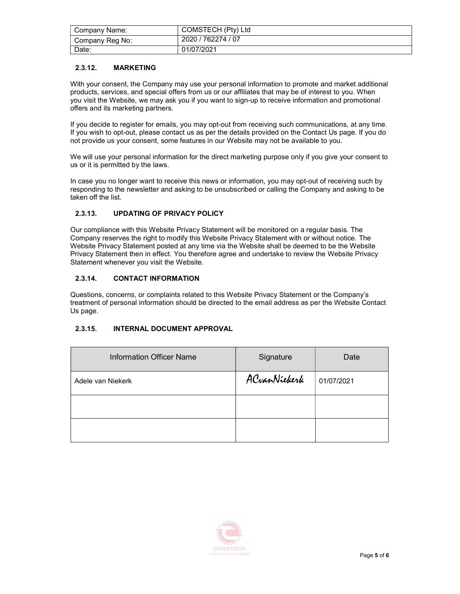| Company Name:   | COMSTECH (Pty) Ltd |
|-----------------|--------------------|
| Company Reg No: | 2020 / 762274 / 07 |
| Date:           | 01/07/2021         |

# 2.3.12. MARKETING

With your consent, the Company may use your personal information to promote and market additional products, services, and special offers from us or our affiliates that may be of interest to you. When you visit the Website, we may ask you if you want to sign-up to receive information and promotional offers and its marketing partners.

If you decide to register for emails, you may opt-out from receiving such communications, at any time. If you wish to opt-out, please contact us as per the details provided on the Contact Us page. If you do not provide us your consent, some features in our Website may not be available to you.

We will use your personal information for the direct marketing purpose only if you give your consent to us or it is permitted by the laws.

In case you no longer want to receive this news or information, you may opt-out of receiving such by responding to the newsletter and asking to be unsubscribed or calling the Company and asking to be taken off the list.

## 2.3.13. UPDATING OF PRIVACY POLICY

Our compliance with this Website Privacy Statement will be monitored on a regular basis. The Company reserves the right to modify this Website Privacy Statement with or without notice. The Website Privacy Statement posted at any time via the Website shall be deemed to be the Website Privacy Statement then in effect. You therefore agree and undertake to review the Website Privacy Statement whenever you visit the Website.

## 2.3.14. CONTACT INFORMATION

Questions, concerns, or complaints related to this Website Privacy Statement or the Company's treatment of personal information should be directed to the email address as per the Website Contact Us page.

# 2.3.15. INTERNAL DOCUMENT APPROVAL

| <b>Information Officer Name</b> | Signature    | Date       |
|---------------------------------|--------------|------------|
| Adele van Niekerk               | ACvanNiekerk | 01/07/2021 |
|                                 |              |            |
|                                 |              |            |